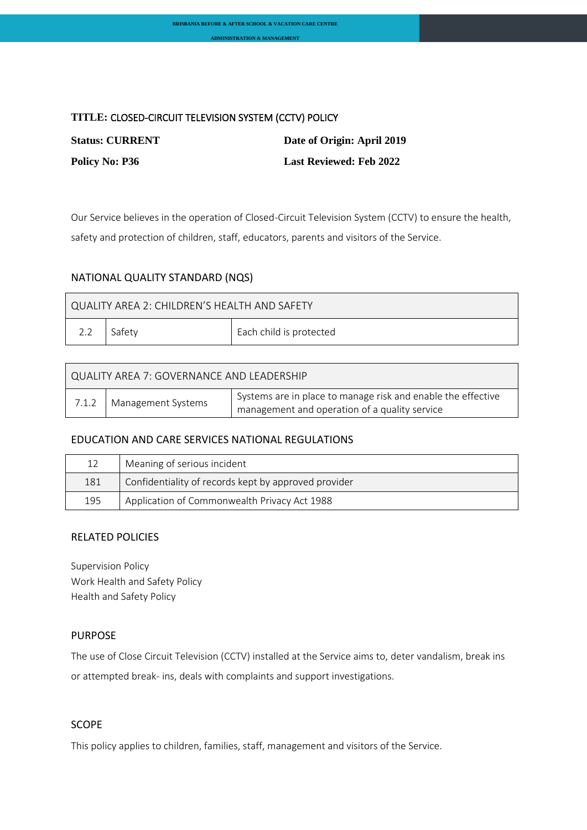## **TITLE:** CLOSED-CIRCUIT TELEVISION SYSTEM (CCTV) POLICY

| <b>Status: CURRENT</b> | Date of Origin: April 2019     |
|------------------------|--------------------------------|
| <b>Policy No: P36</b>  | <b>Last Reviewed: Feb 2022</b> |

Our Service believes in the operation of Closed-Circuit Television System (CCTV) to ensure the health, safety and protection of children, staff, educators, parents and visitors of the Service.

# NATIONAL QUALITY STANDARD (NQS)

| QUALITY AREA 2: CHILDREN'S HEALTH AND SAFETY |          |                         |  |  |
|----------------------------------------------|----------|-------------------------|--|--|
| 2.2                                          | ∣ Safetv | Each child is protected |  |  |

| QUALITY AREA 7: GOVERNANCE AND LEADERSHIP |                            |                                                                                                               |  |  |
|-------------------------------------------|----------------------------|---------------------------------------------------------------------------------------------------------------|--|--|
|                                           | 7.1.2   Management Systems | Systems are in place to manage risk and enable the effective<br>management and operation of a quality service |  |  |

## EDUCATION AND CARE SERVICES NATIONAL REGULATIONS

| 12  | Meaning of serious incident                          |
|-----|------------------------------------------------------|
| 181 | Confidentiality of records kept by approved provider |
| 195 | Application of Commonwealth Privacy Act 1988         |

## RELATED POLICIES

Supervision Policy Work Health and Safety Policy Health and Safety Policy

# PURPOSE

The use of Close Circuit Television (CCTV) installed at the Service aims to, deter vandalism, break ins or attempted break- ins, deals with complaints and support investigations.

## SCOPE

This policy applies to children, families, staff, management and visitors of the Service.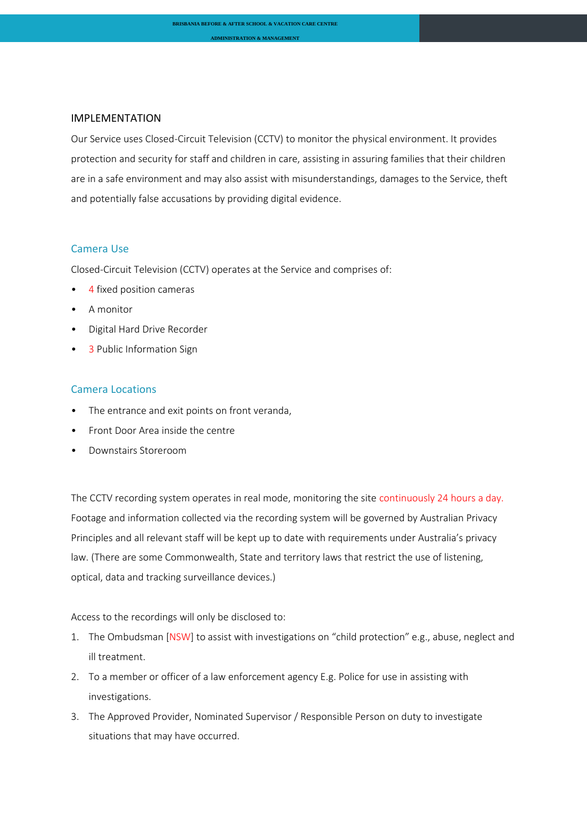#### IMPLEMENTATION

Our Service uses Closed-Circuit Television (CCTV) to monitor the physical environment. It provides protection and security for staff and children in care, assisting in assuring families that their children are in a safe environment and may also assist with misunderstandings, damages to the Service, theft and potentially false accusations by providing digital evidence.

## Camera Use

Closed-Circuit Television (CCTV) operates at the Service and comprises of:

- 4 fixed position cameras
- A monitor
- Digital Hard Drive Recorder
- 3 Public Information Sign

#### Camera Locations

- The entrance and exit points on front veranda,
- Front Door Area inside the centre
- Downstairs Storeroom

The CCTV recording system operates in real mode, monitoring the site continuously 24 hours a day. Footage and information collected via the recording system will be governed by Australian Privacy Principles and all relevant staff will be kept up to date with requirements under Australia's privacy law. (There are some Commonwealth, State and territory laws that restrict the use of listening, optical, data and tracking surveillance devices.)

Access to the recordings will only be disclosed to:

- 1. The Ombudsman [NSW] to assist with investigations on "child protection" e.g., abuse, neglect and ill treatment.
- 2. To a member or officer of a law enforcement agency E.g. Police for use in assisting with investigations.
- 3. The Approved Provider, Nominated Supervisor / Responsible Person on duty to investigate situations that may have occurred.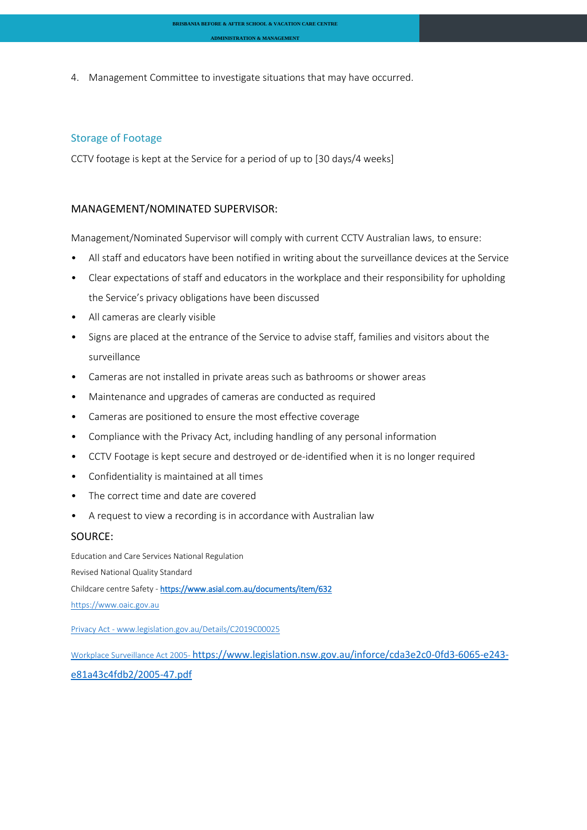4. Management Committee to investigate situations that may have occurred.

#### Storage of Footage

CCTV footage is kept at the Service for a period of up to [30 days/4 weeks]

#### MANAGEMENT/NOMINATED SUPERVISOR:

Management/Nominated Supervisor will comply with current CCTV Australian laws, to ensure:

- All staff and educators have been notified in writing about the surveillance devices at the Service
- Clear expectations of staff and educators in the workplace and their responsibility for upholding the Service's privacy obligations have been discussed
- All cameras are clearly visible
- Signs are placed at the entrance of the Service to advise staff, families and visitors about the surveillance
- Cameras are not installed in private areas such as bathrooms or shower areas
- Maintenance and upgrades of cameras are conducted as required
- Cameras are positioned to ensure the most effective coverage
- Compliance with the Privacy Act, including handling of any personal information
- CCTV Footage is kept secure and destroyed or de-identified when it is no longer required
- Confidentiality is maintained at all times
- The correct time and date are covered
- A request to view a recording is in accordance with Australian law

#### SOURCE:

Education and Care Services National Regulation Revised National Quality Standard Childcare centre Safety - <https://www.asial.com.au/documents/item/632> [https://www.oaic.gov.au](https://www.oaic.gov.au/)

Privacy Act - [www.legislation.gov.au/Details/C2019C00025](http://www.legislation.gov.au/Details/C2019C00025)

Workplace Surveillance Act 2005- [https://www.legislation.nsw.gov.au/inforce/cda3e2c0-0fd3-6065-e243](https://www.legislation.nsw.gov.au/inforce/cda3e2c0-0fd3-6065-e243-e81a43c4fdb2/2005-47.pdf) [e81a43c4fdb2/2005-47.pdf](https://www.legislation.nsw.gov.au/inforce/cda3e2c0-0fd3-6065-e243-e81a43c4fdb2/2005-47.pdf)